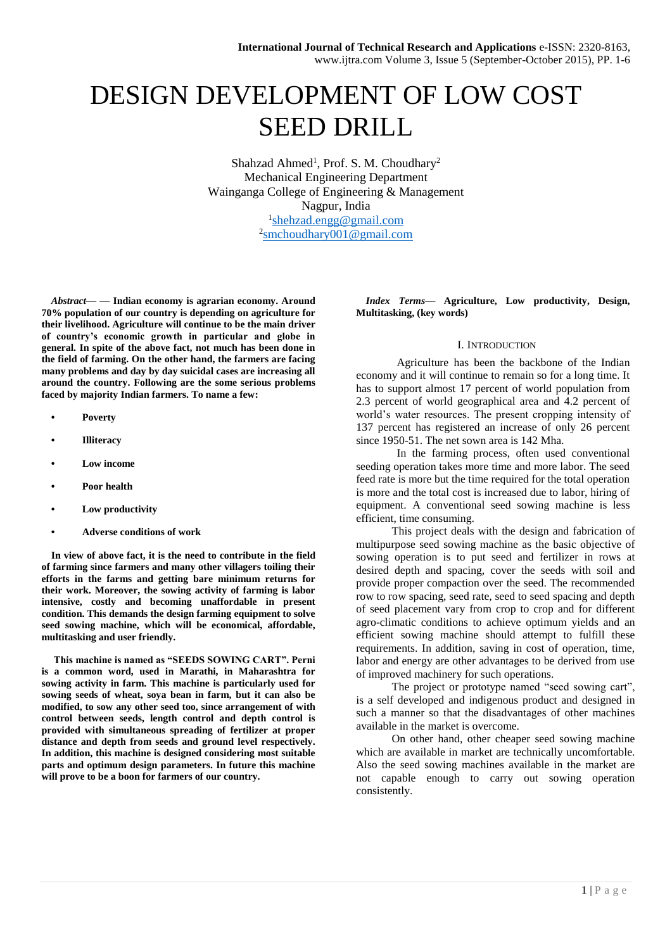# DESIGN DEVELOPMENT OF LOW COST SEED DRILL

Shahzad Ahmed<sup>1</sup>, Prof. S. M. Choudhary<sup>2</sup> Mechanical Engineering Department Wainganga College of Engineering & Management Nagpur, India <sup>1</sup>[shehzad.engg@gmail.com](mailto:shehzad.engg@gmail.com) <sup>2</sup>[smchoudhary001@gmail.com](mailto:smchoudhary001@gmail.com)

*Abstract***— — Indian economy is agrarian economy. Around 70% population of our country is depending on agriculture for their livelihood. Agriculture will continue to be the main driver of country's economic growth in particular and globe in general. In spite of the above fact, not much has been done in the field of farming. On the other hand, the farmers are facing many problems and day by day suicidal cases are increasing all around the country. Following are the some serious problems faced by majority Indian farmers. To name a few:**

- **• Poverty**
- **• Illiteracy**
- **• Low income**
- **• Poor health**
- **• Low productivity**
- **• Adverse conditions of work**

**In view of above fact, it is the need to contribute in the field of farming since farmers and many other villagers toiling their efforts in the farms and getting bare minimum returns for their work. Moreover, the sowing activity of farming is labor intensive, costly and becoming unaffordable in present condition. This demands the design farming equipment to solve seed sowing machine, which will be economical, affordable, multitasking and user friendly.**

**This machine is named as "SEEDS SOWING CART". Perni is a common word, used in Marathi, in Maharashtra for sowing activity in farm. This machine is particularly used for sowing seeds of wheat, soya bean in farm, but it can also be modified, to sow any other seed too, since arrangement of with control between seeds, length control and depth control is provided with simultaneous spreading of fertilizer at proper distance and depth from seeds and ground level respectively. In addition, this machine is designed considering most suitable parts and optimum design parameters. In future this machine will prove to be a boon for farmers of our country.**

*Index Terms***— Agriculture, Low productivity, Design, Multitasking, (key words)**

### I. INTRODUCTION

Agriculture has been the backbone of the Indian economy and it will continue to remain so for a long time. It has to support almost 17 percent of world population from 2.3 percent of world geographical area and 4.2 percent of world's water resources. The present cropping intensity of 137 percent has registered an increase of only 26 percent since 1950-51. The net sown area is 142 Mha.

In the farming process, often used conventional seeding operation takes more time and more labor. The seed feed rate is more but the time required for the total operation is more and the total cost is increased due to labor, hiring of equipment. A conventional seed sowing machine is less efficient, time consuming.

This project deals with the design and fabrication of multipurpose seed sowing machine as the basic objective of sowing operation is to put seed and fertilizer in rows at desired depth and spacing, cover the seeds with soil and provide proper compaction over the seed. The recommended row to row spacing, seed rate, seed to seed spacing and depth of seed placement vary from crop to crop and for different agro-climatic conditions to achieve optimum yields and an efficient sowing machine should attempt to fulfill these requirements. In addition, saving in cost of operation, time, labor and energy are other advantages to be derived from use of improved machinery for such operations.

The project or prototype named "seed sowing cart". is a self developed and indigenous product and designed in such a manner so that the disadvantages of other machines available in the market is overcome.

On other hand, other cheaper seed sowing machine which are available in market are technically uncomfortable. Also the seed sowing machines available in the market are not capable enough to carry out sowing operation consistently.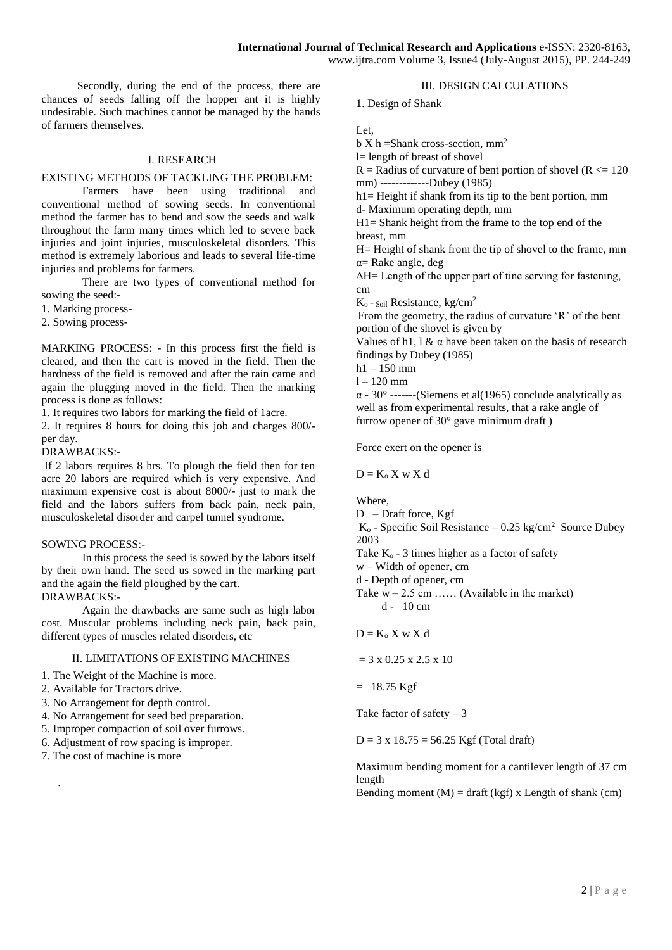Secondly, during the end of the process, there are chances of seeds falling off the hopper ant it is highly undesirable. Such machines cannot be managed by the hands of farmers themselves.

# I. RESEARCH

## EXISTING METHODS OF TACKLING THE PROBLEM:

Farmers have been using traditional and conventional method of sowing seeds. In conventional method the farmer has to bend and sow the seeds and walk throughout the farm many times which led to severe back injuries and joint injuries, musculoskeletal disorders. This method is extremely laborious and leads to several life-time injuries and problems for farmers.

There are two types of conventional method for sowing the seed:-

1. Marking process-

2. Sowing process-

MARKING PROCESS: - In this process first the field is cleared, and then the cart is moved in the field. Then the hardness of the field is removed and after the rain came and again the plugging moved in the field. Then the marking process is done as follows:

1. It requires two labors for marking the field of 1acre.

2. It requires 8 hours for doing this job and charges 800/ per day.

DRAWBACKS:-

If 2 labors requires 8 hrs. To plough the field then for ten acre 20 labors are required which is very expensive. And maximum expensive cost is about 8000/- just to mark the field and the labors suffers from back pain, neck pain, musculoskeletal disorder and carpel tunnel syndrome.

## SOWING PROCESS:-

In this process the seed is sowed by the labors itself by their own hand. The seed us sowed in the marking part and the again the field ploughed by the cart. DRAWBACKS:-

Again the drawbacks are same such as high labor cost. Muscular problems including neck pain, back pain, different types of muscles related disorders, etc

## II. LIMITATIONS OF EXISTING MACHINES

1. The Weight of the Machine is more.

- 2. Available for Tractors drive.
- 3. No Arrangement for depth control.
- 4. No Arrangement for seed bed preparation.
- 5. Improper compaction of soil over furrows.
- 6. Adjustment of row spacing is improper.
- 7. The cost of machine is more

.

III. DESIGN CALCULATIONS

1. Design of Shank

Let,

 $b X h = Shank cross-section, mm<sup>2</sup>$ 

l= length of breast of shovel

 $R =$  Radius of curvature of bent portion of shovel ( $R \le 120$ ) mm) -------------Dubey (1985)

 $h1=$  Height if shank from its tip to the bent portion, mm d- Maximum operating depth, mm

H1= Shank height from the frame to the top end of the

breast, mm

H= Height of shank from the tip of shovel to the frame, mm α= Rake angle, deg

ΔH= Length of the upper part of tine serving for fastening, cm

 $K_{o = Soil}$  Resistance, kg/cm<sup>2</sup>

From the geometry, the radius of curvature 'R' of the bent portion of the shovel is given by

Values of h1,  $\alpha$  a have been taken on the basis of research findings by Dubey (1985)

 $h1 - 150$  mm

 $l = 120$  mm

 $\alpha$  - 30° -------(Siemens et al(1965) conclude analytically as well as from experimental results, that a rake angle of furrow opener of 30° gave minimum draft )

Force exert on the opener is

 $D = K_0 X$  w X d

Where,

D – Draft force, Kgf

 $K_0$  - Specific Soil Resistance  $-0.25 \text{ kg/cm}^2$  Source Dubey 2003

- Take  $K_0$  3 times higher as a factor of safety
- w Width of opener, cm
- d Depth of opener, cm

Take  $w - 2.5$  cm ...... (Available in the market)  $d - 10$  cm

 $D = K_0 X$  w X d

 $= 3 \times 0.25 \times 2.5 \times 10$ 

 $= 18.75$  Kgf

Take factor of safety  $-3$ 

 $D = 3 \times 18.75 = 56.25$  Kgf (Total draft)

Maximum bending moment for a cantilever length of 37 cm length

Bending moment  $(M) = \text{draff (kgf)} x$  Length of shank  $(cm)$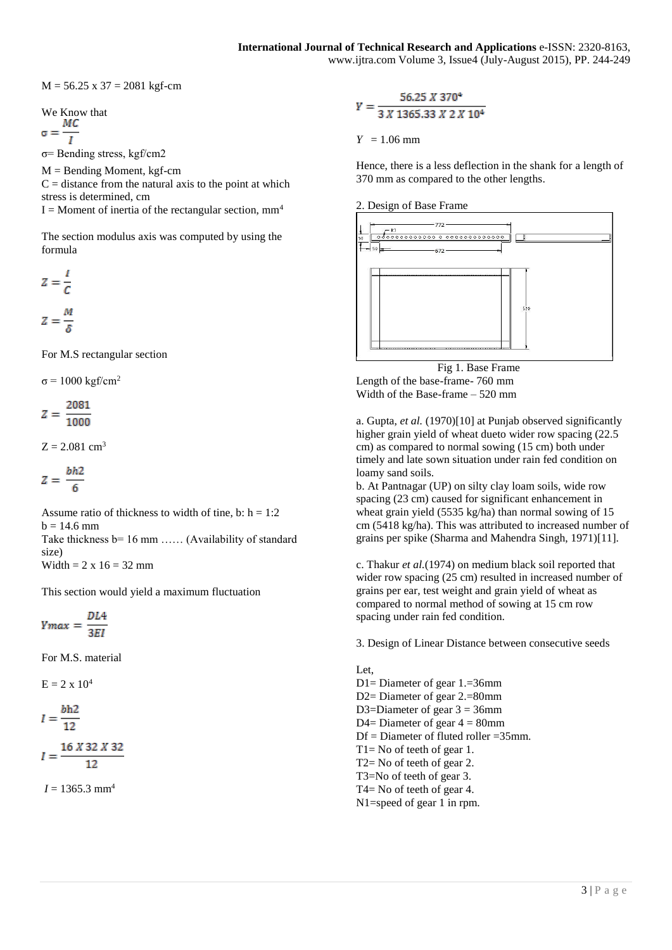$M = 56.25$  x 37 = 2081 kgf-cm

We Know that

$$
\sigma = \frac{mc}{l}
$$

σ= Bending stress, kgf/cm2

 $M =$  Bending Moment, kgf-cm

 $C =$  distance from the natural axis to the point at which stress is determined, cm

 $I =$ Moment of inertia of the rectangular section, mm<sup>4</sup>

The section modulus axis was computed by using the formula

$$
Z = \frac{I}{C}
$$

$$
Z = \frac{M}{\delta}
$$

For M.S rectangular section

 $σ = 1000 kgf/cm<sup>2</sup>$ 

$$
Z=\frac{2081}{1000}
$$

 $Z = 2.081$  cm<sup>3</sup>

$$
Z=\frac{bh2}{6}
$$

Assume ratio of thickness to width of tine, b:  $h = 1:2$  $b = 14.6$  mm

Take thickness b= 16 mm ...... (Availability of standard size)

Width =  $2 \times 16 = 32$  mm

This section would yield a maximum fluctuation

 $Ymax = \frac{DL4}{3EI}$ 

For M.S. material

 $E = 2 \times 10^4$ 

$$
I = \frac{bh2}{12}
$$

$$
I = \frac{16 \times 32 \times 32}{12}
$$

 $I = 1365.3$  mm<sup>4</sup>

$$
Y = \frac{56.25 \times 370^4}{3 \times 1365.33 \times 2 \times 10^4}
$$

 $Y = 1.06$  mm

Hence, there is a less deflection in the shank for a length of 370 mm as compared to the other lengths.





Fig 1. Base Frame Length of the base-frame- 760 mm Width of the Base-frame – 520 mm

a. Gupta, *et al.* (1970)[10] at Punjab observed significantly higher grain yield of wheat dueto wider row spacing (22.5) cm) as compared to normal sowing (15 cm) both under timely and late sown situation under rain fed condition on loamy sand soils.

b. At Pantnagar (UP) on silty clay loam soils, wide row spacing (23 cm) caused for significant enhancement in wheat grain yield (5535 kg/ha) than normal sowing of 15 cm (5418 kg/ha). This was attributed to increased number of grains per spike (Sharma and Mahendra Singh, 1971)[11].

c. Thakur *et al.*(1974) on medium black soil reported that wider row spacing (25 cm) resulted in increased number of grains per ear, test weight and grain yield of wheat as compared to normal method of sowing at 15 cm row spacing under rain fed condition.

3. Design of Linear Distance between consecutive seeds

Let, D1= Diameter of gear 1.=36mm D2= Diameter of gear 2.=80mm D3=Diameter of gear  $3 = 36$ mm D4= Diameter of gear  $4 = 80$ mm  $Df =$ Diameter of fluted roller = 35mm. T1= No of teeth of gear 1. T2= No of teeth of gear 2. T3=No of teeth of gear 3. T4= No of teeth of gear 4. N1=speed of gear 1 in rpm.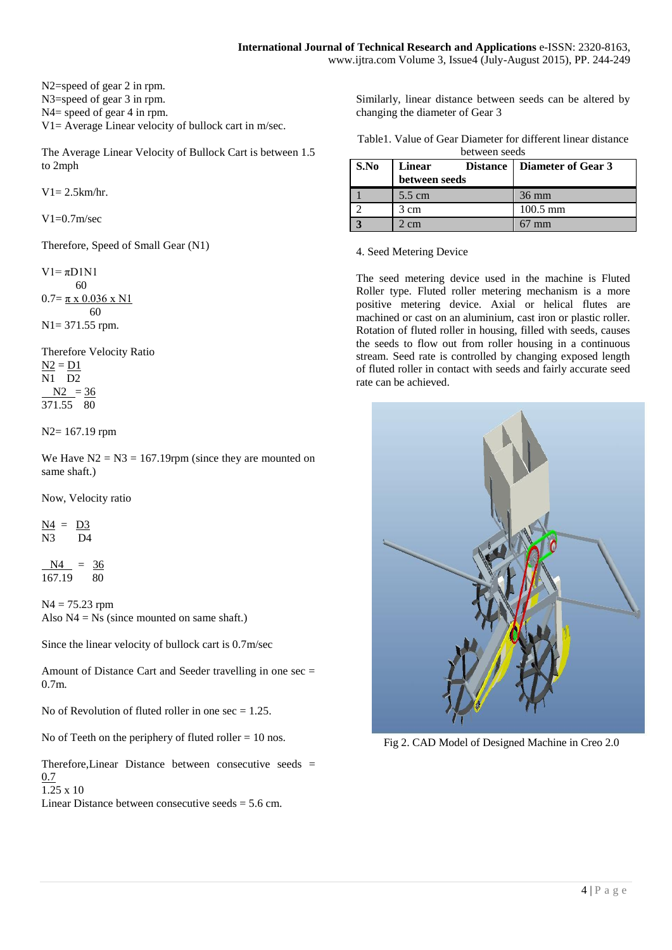N2=speed of gear 2 in rpm. N3=speed of gear 3 in rpm. N4= speed of gear 4 in rpm. V1= Average Linear velocity of bullock cart in m/sec.

The Average Linear Velocity of Bullock Cart is between 1.5 to 2mph

 $V1 = 2.5km/hr$ .

 $V1=0.7$ m/sec

Therefore, Speed of Small Gear (N1)

 $V1 = \pi D1N1$  60  $0.7 = \pi \times 0.036 \times N1$  60 N1= 371.55 rpm.

Therefore Velocity Ratio  $N2 = D1$ N1 D2  $N2 = 36$ 371.55 80

N2= 167.19 rpm

We Have  $N2 = N3 = 167.19$ rpm (since they are mounted on same shaft.)

Now, Velocity ratio

 $N4 = D3$ N3 D4

 $N4 = 36$ 167.19 80

 $N4 = 75.23$  rpm Also  $N4 = Ns$  (since mounted on same shaft.)

Since the linear velocity of bullock cart is 0.7m/sec

Amount of Distance Cart and Seeder travelling in one sec = 0.7m.

No of Revolution of fluted roller in one  $\sec = 1.25$ .

No of Teeth on the periphery of fluted roller  $= 10$  nos.

Therefore,Linear Distance between consecutive seeds =  $0.7$ 

1.25 x 10

Linear Distance between consecutive seeds  $= 5.6$  cm.

Similarly, linear distance between seeds can be altered by changing the diameter of Gear 3

|  | Table 1. Value of Gear Diameter for different linear distance |  |  |
|--|---------------------------------------------------------------|--|--|
|  | between seeds                                                 |  |  |

| S.No | <b>Linear</b><br>between seeds | Distance   Diameter of Gear 3 |
|------|--------------------------------|-------------------------------|
|      | $5.5 \text{ cm}$               | $36 \text{ mm}$               |
|      | 3 cm                           | $100.5 \text{ mm}$            |
|      |                                |                               |

4. Seed Metering Device

The seed metering device used in the machine is Fluted Roller type. Fluted roller metering mechanism is a more positive metering device. Axial or helical flutes are machined or cast on an aluminium, cast iron or plastic roller. Rotation of fluted roller in housing, filled with seeds, causes the seeds to flow out from roller housing in a continuous stream. Seed rate is controlled by changing exposed length of fluted roller in contact with seeds and fairly accurate seed rate can be achieved.



Fig 2. CAD Model of Designed Machine in Creo 2.0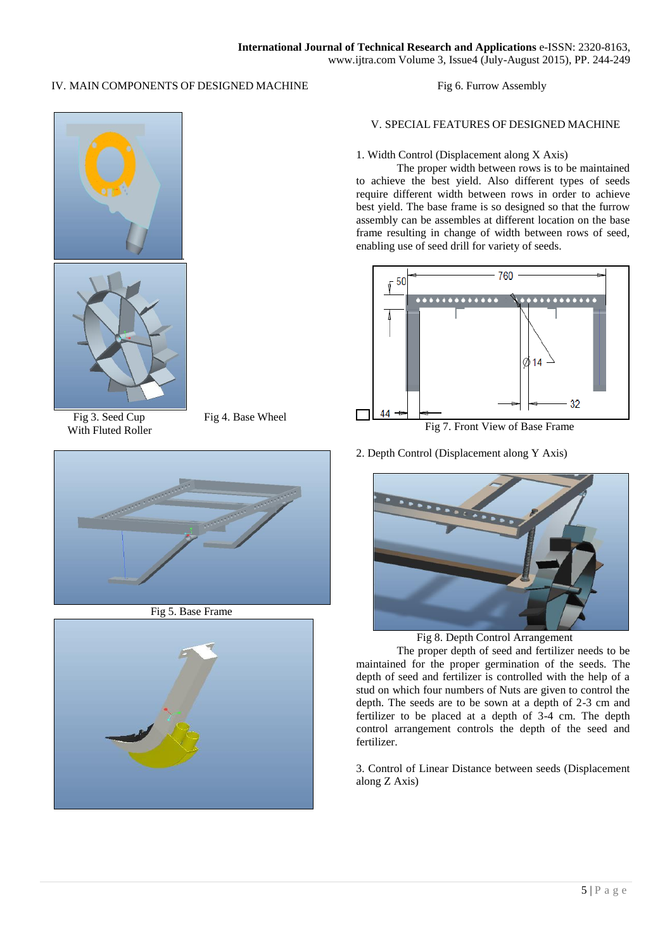# IV. MAIN COMPONENTS OF DESIGNED MACHINE

Fig 6. Furrow Assembly



With Fluted Roller

Fig 3. Seed Cup Fig 4. Base Wheel



Fig 5. Base Frame



# V. SPECIAL FEATURES OF DESIGNED MACHINE

## 1. Width Control (Displacement along X Axis)

The proper width between rows is to be maintained to achieve the best yield. Also different types of seeds require different width between rows in order to achieve best yield. The base frame is so designed so that the furrow assembly can be assembles at different location on the base frame resulting in change of width between rows of seed, enabling use of seed drill for variety of seeds.



Fig 7. Front View of Base Frame

2. Depth Control (Displacement along Y Axis)

 $\overline{\phantom{a}}$ 



Fig 8. Depth Control Arrangement

The proper depth of seed and fertilizer needs to be maintained for the proper germination of the seeds. The depth of seed and fertilizer is controlled with the help of a stud on which four numbers of Nuts are given to control the depth. The seeds are to be sown at a depth of 2-3 cm and fertilizer to be placed at a depth of 3-4 cm. The depth control arrangement controls the depth of the seed and fertilizer.

3. Control of Linear Distance between seeds (Displacement along Z Axis)